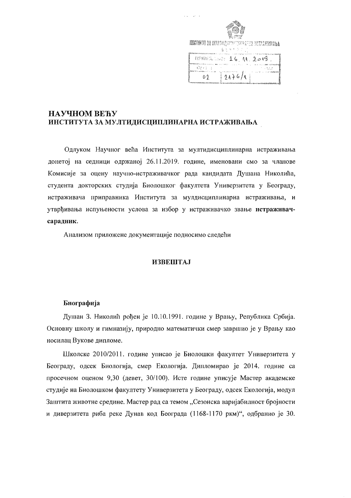| MARKARY 3A IDYETH ANNU CONNAN METHAMIRADA |
|-------------------------------------------|
|                                           |
| 身をせき スワー                                  |
|                                           |
| <b>APHMALEO: 16, AL, 2019</b>             |
| i br<br>n - r                             |
| 2476/1<br>D I                             |
|                                           |

# НАУЧНОМ ВЕЋУ ИНСТИТУТА ЗА МУЛТИДИСЦИПЛИНАРНА ИСТРАЖИВАЊА

Одлуком Научног већа Института за мултидисциплинарна истраживања донетој на седници одржаној 26.11.2019. године, именовани смо за чланове Комисије за оцену научно-истраживачког рада кандидата Душана Николића, студента докторских студија Биолошког факултета Универзитета у Београду, истраживача приправника Института за мулдисциплинарна истраживања, и утврђивања испуњености услова за избор у истраживачко звање истраживачсарадник.

Анализом приложене документације подносимо следећи

## **ИЗВЕШТАЈ**

## Биографија

Душан З. Николић рођен је 10.10.1991. године у Врању, Република Србија. Основну школу и гимназију, природно математички смер завршио је у Врању као носилац Вукове дипломе.

Школске 2010/2011. године уписао је Биолошки факултет Универзитета у Београду, одсек Биологија, смер Екологија. Дипломирао је 2014. године са просечном оценом 9,30 (девет, 30/100). Исте године уписује Мастер академске студије на Биолошком факултету Универзитета у Београду, одсек Екологија, модул Заштита животне средине. Мастер рад са темом "Сезонска варијабилност бројности и диверзитета риба реке Дунав код Београда (1168-1170 ркм)", одбранио је 30.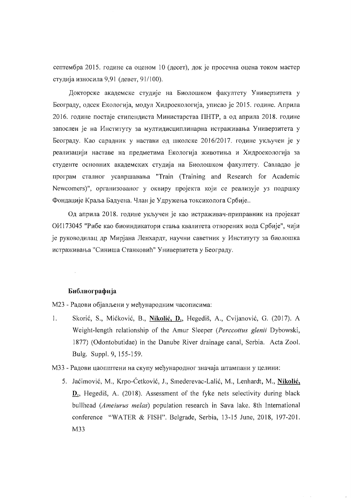септембра 2015. године са оценом 10 (десет), док је просечна оцена током мастер студија износила 9,91 (девет, 91/100).

Докторске академске студије на Биолошком факултету Универзитета у Београду, одсек Екологија, модул Хидроекологија, уписао је 2015. године. Априла 2016. године постаје стипендиста Министарства ПНТР, а од априла 2018. године запослен је на Институту за мултидисциплинарна истраживања Универзитета у Београду. Као сарадник у настави од школске 2016/2017. године укључен је у реализацији наставе на предметима Екологија животиња и Хидроекологија за студенте основних академских студија на Биолошком факултету. Савладао је програм сталног усавршавања "Train (Training and Research for Academic Newcomers)", организованог у оквиру пројекта који се реализује уз подршку Фондације Краља Бадуена. Члан је Удружења токсиколога Србије...

Од априла 2018. године укључен је као истраживач-приправник на пројекат ОИ173045 "Рибе као биоиндикатори стања квалитета отворених вода Србије", чији је руководилац др Мирјана Ленхардт, научни саветник у Институту за биолошка истраживања "Синиша Станковић" Универзитета у Београду.

#### Библиографија

 $\hat{\mathcal{A}}$ 

М23 - Радови објављени у међународним часописима:

- $1.$ Skorić, S., Mićković, B., Nikolić, D., Hegediš, A., Cvijanović, G. (2017). A Weight-length relationship of the Amur Sleeper (Perccottus glenii Dybowski, 1877) (Odontobutidae) in the Danube River drainage canal, Serbia. Acta Zool. Bulg. Suppl. 9, 155-159.
- МЗЗ Радови цаопштени на скупу међународног значаја штампани у целини:
	- 5. Jaćimović, M., Krpo-Ćetković, J., Smederevac-Lalić, M., Lenhardt, M., Nikolić,  $D_{1}$ , Hegediš, A. (2018). Assessment of the fyke nets selectivity during black bullhead (Ameiurus melas) population research in Sava lake. 8th International conference "WATER & FISH". Belgrade, Serbia, 13-15 June, 2018, 197-201. M33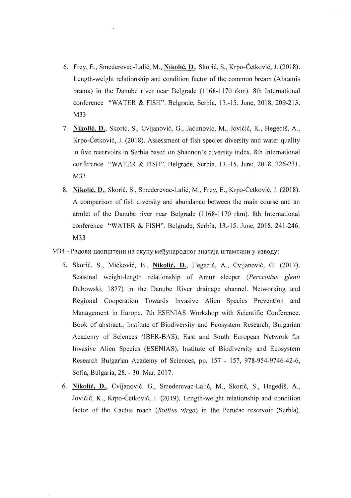- 6. Frey, E., Smederevac-Lalić, M., Nikolić, D., Skorić, S., Krpo-Ćetković, J. (2018). Length-weight relationship and condition factor of the common bream (Abramis brama) in the Danube river near Belgrade (1168-1170 rkm). 8th International conference "WATER & FISII". Belgrade, Serbia, 13.-15. June, 2018, 209-213. M33
- 7. Nikolić, D., Skorić, S., Cvijanović, G., Jaćimović, M., Jovičić, K., Hegediš, A., Krpo-Cetkovic, 1. (2018). Assessment of fish species diversity and water quality in five reservoirs in Serbia based on Shannon's diversity index. 8th International conference "WATER & FISH". Belgrade, Serbia, 13.-15. June, 2018, 226-231. M33
- 8. Nikolić, D., Skorić, S., Smederevac-Lalić, M., Frey, E., Krpo-Ćetković, J. (2018). A comparison of fish diversity and abundance between the main course and an armlet of the Danube river near Belgrade (1168-1170 rkm). 8th International conference "WATER & FISH". Belgrade, Serbia, 13.-15. June, 2018, 241-246. M33
- М34 Радови цаопштени на скупу међународног значаја штампани у изводу:
	- 5. Skorić, S., Mićković, B., Nikolić, D., Hegediš, A., Cvijanović, G. (2017). Seasonal weight-length relationship of Amur sleeper *(Perccottus glenii*  Dubowski, 1877) in the Danube River drainage channel. Networking and Regional Cooperation Towards Invasive Alien Species Prevention and Management in Europe. 7th ESENIAS Workshop with Scientific Conference. Book of abstract., Institute of Biodiversity and Ecosystem Research, Bulgarian Academy of Sciences (IBER-BAS); East and South European Network for Invasive Alien Species (ESENIAS), Institute of Biodiversity and Ecosystem Research Bulgarian Academy of Sciences, pp. 157 - 157, 978-954-9746-42-6, Sofia, Bulgaria, 28. - 30. Mar, 2017.
	- 6. Nikolić, D., Cvijanović, G., Smederevac-Lalić, M., Skorić, S., Hegediš, A., Jovici6, K., Krpo-Cetkovi6, J. (2019). Length-weight relationship and condition factor of the Cactus roach (Rutilus *virgo*) in the Perucac reservoir (Serbia).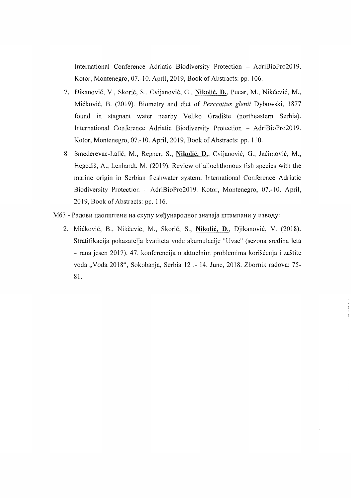International Conference Adriatic Biodiversity Protection - AdriBioPro2019. Kotor, Montenegro, 07.-10. April, 2019, Book of Abstracts: pp. 106.

- 7. Dikanovic, V., Skoric, S., Cvijanovic, G., **Nikolic, D.,** Pucar, M., Nikcevic, M., Mickovic, B. (2019). Biometry and diet of *Perccottus glenii* Dybowski, 1877 found in stagnant water nearby Veliko Gradiste (northeastern Serbia). International Conference Adriatic Biodiversity Protection - AdriBioPro2019. Kotor, Montenegro, 07.-10. April, 2019, Book of Abstracts: pp. 110.
- 8. Smederevac-Lalic, M., Regner, S., **Nikolic,** D., Cvijanovic, G., Jacimovic, M., Hegedis, A., Lenhardt, M. (2019). Review of allochthonous fish species with the marine origin in Serbian freshwater system. International Conference Adriatic Biodiversity Protection - AdriBioPro2019. Kotor, Montenegro, 07.-10. April, 2019, Book of Abstracts: pp. 116.
- М63 Радови цаопштени на скупу међународног значаја штампани у изводу:
	- 2. Mickovic, B., Nikcevic, M., Skoric, S., **Nikolic,** D., Djikanovic, V. (2018). Stratifikacija pokazatelja kvaliteta vode akumulacije "Uvac" (sezona sredina leta - rana jesen 2017). 47. konferencija o aktuelnim problemima korišćenja i zaštite voda "Voda 2018", Sokobanja, Serbia 12 .- 14. June, 2018. Zbornik radova: 75-81.